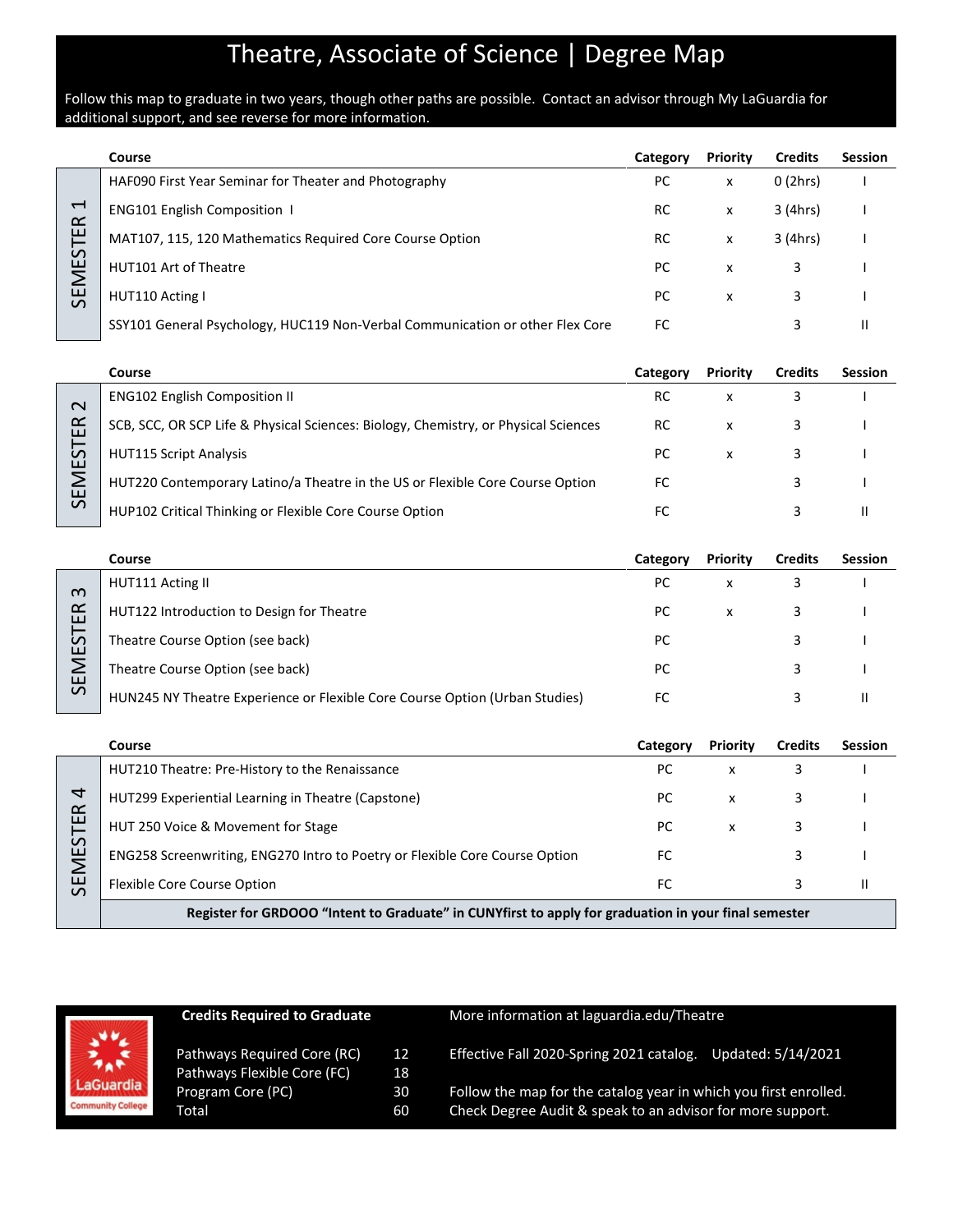# Theatre, Associate of Science | Degree Map

#### Follow this map to graduate in two years, though other paths are possible. Contact an advisor through My LaGuardia for additional support, and see reverse for more information.

|                                       | Course                                                                        | Category  | <b>Priority</b> | <b>Credits</b> | <b>Session</b> |
|---------------------------------------|-------------------------------------------------------------------------------|-----------|-----------------|----------------|----------------|
|                                       | HAF090 First Year Seminar for Theater and Photography                         | РC        | x               | 0(2hrs)        |                |
| $\overline{\phantom{0}}$<br>$\propto$ | <b>ENG101 English Composition 1</b>                                           | <b>RC</b> | X               | 3 (4hrs)       |                |
| ш                                     | MAT107, 115, 120 Mathematics Required Core Course Option                      | RC        | x               | 3 (4hrs)       |                |
| <b>SEMEST</b>                         | HUT101 Art of Theatre                                                         | PC.       | x               |                |                |
|                                       | HUT110 Acting I                                                               | PC.       | x               | 3              |                |
|                                       | SSY101 General Psychology, HUC119 Non-Verbal Communication or other Flex Core | FC        |                 |                |                |

|                    | Course                                                                              | Category | <b>Priority</b> | <b>Credits</b> | <b>Session</b> |
|--------------------|-------------------------------------------------------------------------------------|----------|-----------------|----------------|----------------|
| $\sim$             | <b>ENG102 English Composition II</b>                                                | RC       | x               |                |                |
| ≃<br>ш             | SCB, SCC, OR SCP Life & Physical Sciences: Biology, Chemistry, or Physical Sciences | RC.      | x               |                |                |
| $\mathcal{L}$<br>ш | <b>HUT115 Script Analysis</b>                                                       | РC       |                 |                |                |
| ш                  | HUT220 Contemporary Latino/a Theatre in the US or Flexible Core Course Option       | FC       |                 |                |                |
| $\mathcal{L}$      | HUP102 Critical Thinking or Flexible Core Course Option                             |          |                 |                |                |

|             | Course                                                                      | Category | <b>Priority</b> | <b>Credits</b> | <b>Session</b> |
|-------------|-----------------------------------------------------------------------------|----------|-----------------|----------------|----------------|
| ന           | HUT111 Acting II                                                            | РC       |                 |                |                |
| ≃<br>ш      | HUT122 Introduction to Design for Theatre                                   | РC       | X               |                |                |
| –<br>S<br>ш | Theatre Course Option (see back)                                            | PC       |                 |                |                |
| Σ<br>ш      | Theatre Course Option (see back)                                            | РC       |                 |                |                |
| $\sim$      | HUN245 NY Theatre Experience or Flexible Core Course Option (Urban Studies) | FC       |                 |                |                |

|                | Course                                                                                               | Category | <b>Priority</b> | <b>Credits</b> | <b>Session</b> |  |
|----------------|------------------------------------------------------------------------------------------------------|----------|-----------------|----------------|----------------|--|
|                | HUT210 Theatre: Pre-History to the Renaissance                                                       | РC       | x               |                |                |  |
| ₹<br>$\propto$ | HUT299 Experiential Learning in Theatre (Capstone)                                                   | РC       | x               |                |                |  |
| ш              | HUT 250 Voice & Movement for Stage                                                                   | РC       | x               |                |                |  |
| ഗ<br>ш         | ENG258 Screenwriting, ENG270 Intro to Poetry or Flexible Core Course Option                          | FC       |                 |                |                |  |
| ш<br>$\Omega$  | <b>Flexible Core Course Option</b>                                                                   | FC       |                 |                |                |  |
|                | Register for CRDOOQ "Intent to Craduate" in CUNVfirst to apply for graduation in your final semester |          |                 |                |                |  |

**Register for GRDOOO "Intent to Graduate" in CUNYfirst to apply for graduation in your final semester**

|                              | <b>Credits Required to Graduate</b> |                 | More information at laguardia.edu/Theatre                        |
|------------------------------|-------------------------------------|-----------------|------------------------------------------------------------------|
| $\frac{1}{2} \sum_{n=1}^{N}$ | Pathways Required Core (RC)         | 12              | Effective Fall 2020-Spring 2021 catalog.                         |
|                              | Pathways Flexible Core (FC)         | 18 <sup>°</sup> | Updated: 5/14/2021                                               |
| <b>LaGuardia</b>             | Program Core (PC)                   | 30              | Follow the map for the catalog year in which you first enrolled. |
| <b>Community College</b>     | Total                               | 60              | Check Degree Audit & speak to an advisor for more support.       |